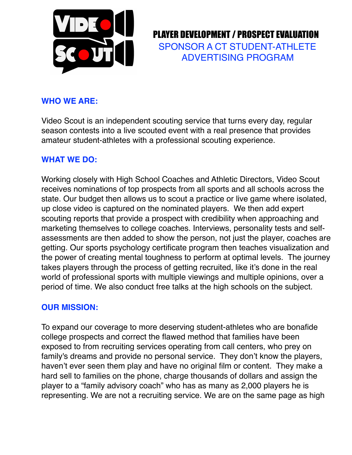

 PLAYER DEVELOPMENT / PROSPECT EVALUATION SPONSOR A CT STUDENT-ATHLETE ADVERTISING PROGRAM

#### **WHO WE ARE:**

Video Scout is an independent scouting service that turns every day, regular season contests into a live scouted event with a real presence that provides amateur student-athletes with a professional scouting experience.

#### **WHAT WE DO:**

Working closely with High School Coaches and Athletic Directors, Video Scout receives nominations of top prospects from all sports and all schools across the state. Our budget then allows us to scout a practice or live game where isolated, up close video is captured on the nominated players. We then add expert scouting reports that provide a prospect with credibility when approaching and marketing themselves to college coaches. Interviews, personality tests and selfassessments are then added to show the person, not just the player, coaches are getting. Our sports psychology certificate program then teaches visualization and the power of creating mental toughness to perform at optimal levels. The journey takes players through the process of getting recruited, like it's done in the real world of professional sports with multiple viewings and multiple opinions, over a period of time. We also conduct free talks at the high schools on the subject.

#### **OUR MISSION:**

To expand our coverage to more deserving student-athletes who are bonafide college prospects and correct the flawed method that families have been exposed to from recruiting services operating from call centers, who prey on family's dreams and provide no personal service. They don't know the players, haven't ever seen them play and have no original film or content. They make a hard sell to families on the phone, charge thousands of dollars and assign the player to a "family advisory coach" who has as many as 2,000 players he is representing. We are not a recruiting service. We are on the same page as high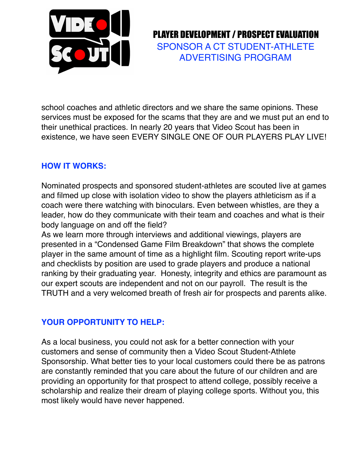

 PLAYER DEVELOPMENT / PROSPECT EVALUATION SPONSOR A CT STUDENT-ATHLETE ADVERTISING PROGRAM

school coaches and athletic directors and we share the same opinions. These services must be exposed for the scams that they are and we must put an end to their unethical practices. In nearly 20 years that Video Scout has been in existence, we have seen EVERY SINGLE ONE OF OUR PLAYERS PLAY LIVE!

### **HOW IT WORKS:**

Nominated prospects and sponsored student-athletes are scouted live at games and filmed up close with isolation video to show the players athleticism as if a coach were there watching with binoculars. Even between whistles, are they a leader, how do they communicate with their team and coaches and what is their body language on and off the field?

As we learn more through interviews and additional viewings, players are presented in a "Condensed Game Film Breakdown" that shows the complete player in the same amount of time as a highlight film. Scouting report write-ups and checklists by position are used to grade players and produce a national ranking by their graduating year. Honesty, integrity and ethics are paramount as our expert scouts are independent and not on our payroll. The result is the TRUTH and a very welcomed breath of fresh air for prospects and parents alike.

#### **YOUR OPPORTUNITY TO HELP:**

As a local business, you could not ask for a better connection with your customers and sense of community then a Video Scout Student-Athlete Sponsorship. What better ties to your local customers could there be as patrons are constantly reminded that you care about the future of our children and are providing an opportunity for that prospect to attend college, possibly receive a scholarship and realize their dream of playing college sports. Without you, this most likely would have never happened.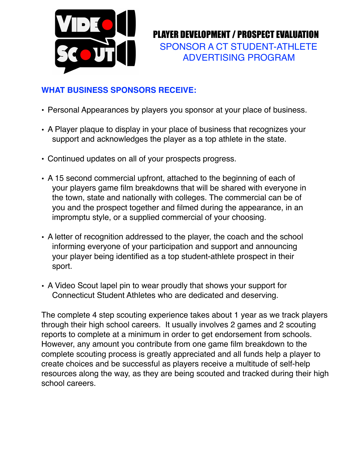

 PLAYER DEVELOPMENT / PROSPECT EVALUATION SPONSOR A CT STUDENT-ATHLETE ADVERTISING PROGRAM

## **WHAT BUSINESS SPONSORS RECEIVE:**

- Personal Appearances by players you sponsor at your place of business.
- A Player plaque to display in your place of business that recognizes your support and acknowledges the player as a top athlete in the state.
- Continued updates on all of your prospects progress.
- A 15 second commercial upfront, attached to the beginning of each of your players game film breakdowns that will be shared with everyone in the town, state and nationally with colleges. The commercial can be of you and the prospect together and filmed during the appearance, in an impromptu style, or a supplied commercial of your choosing.
- A letter of recognition addressed to the player, the coach and the school informing everyone of your participation and support and announcing your player being identified as a top student-athlete prospect in their sport.
- A Video Scout lapel pin to wear proudly that shows your support for Connecticut Student Athletes who are dedicated and deserving.

The complete 4 step scouting experience takes about 1 year as we track players through their high school careers. It usually involves 2 games and 2 scouting reports to complete at a minimum in order to get endorsement from schools. However, any amount you contribute from one game film breakdown to the complete scouting process is greatly appreciated and all funds help a player to create choices and be successful as players receive a multitude of self-help resources along the way, as they are being scouted and tracked during their high school careers.